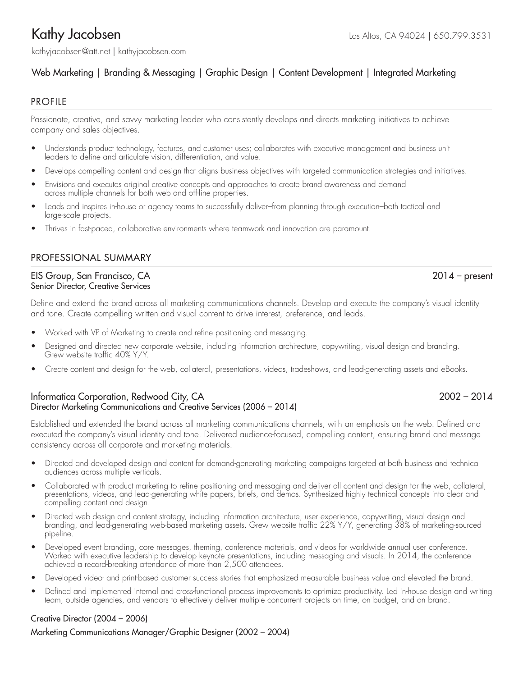kathyjacobsen@att.net | [kathyjacobsen.com](www.kathyjacobsen.com)

# Web Marketing | Branding & Messaging | Graphic Design | Content Development | Integrated Marketing

# **PROFILE**

Passionate, creative, and savvy marketing leader who consistently develops and directs marketing initiatives to achieve company and sales objectives.

- Understands product technology, features, and customer uses; collaborates with executive management and business unit leaders to define and articulate vision, differentiation, and value.
- Develops compelling content and design that aligns business objectives with targeted communication strategies and initiatives.
- Envisions and executes original creative concepts and approaches to create brand awareness and demand across multiple channels for both web and off-line properties.
- Leads and inspires in-house or agency teams to successfully deliver–from planning through execution–both tactical and large-scale projects.
- Thrives in fast-paced, collaborative environments where teamwork and innovation are paramount.

# PROFESSIONAL SUMMARY

### EIS Group, San Francisco, CA 2014 – present Senior Director, Creative Services

Define and extend the brand across all marketing communications channels. Develop and execute the company's visual identity and tone. Create compelling written and visual content to drive interest, preference, and leads.

- Worked with VP of Marketing to create and refine positioning and messaging.
- Designed and directed new corporate website, including information architecture, copywriting, visual design and branding. Grew website traffic 40% Y/Y.
- Create content and design for the web, collateral, presentations, videos, tradeshows, and lead-generating assets and eBooks.

### Informatica Corporation, Redwood City, CA 2002 – 2014 Director Marketing Communications and Creative Services (2006 – 2014)

Established and extended the brand across all marketing communications channels, with an emphasis on the web. Defined and executed the company's visual identity and tone. Delivered audience-focused, compelling content, ensuring brand and message consistency across all corporate and marketing materials.

- Directed and developed design and content for demand-generating marketing campaigns targeted at both business and technical audiences across multiple verticals.
- Collaborated with product marketing to refine positioning and messaging and deliver all content and design for the web, collateral, presentations, videos, and lead-generating white papers, briefs, and demos. Synthesized highly technical concepts into clear and compelling content and design.
- Directed web design and content strategy, including information architecture, user experience, copywriting, visual design and branding, and lead-generating web-based marketing assets. Grew website traffic 22% Y/Y, generating 38% of marketing-sourced pipeline.
- Developed event branding, core messages, theming, conference materials, and videos for worldwide annual user conference. Worked with executive leadership to develop keynote presentations, including messaging and visuals. In 2014, the conference achieved a record-breaking attendance of more than 2,500 attendees.
- Developed video- and print-based customer success stories that emphasized measurable business value and elevated the brand.
- Defined and implemented internal and cross-functional process improvements to optimize productivity. Led in-house design and writing team, outside agencies, and vendors to effectively deliver multiple concurrent projects on time, on budget, and on brand.

### Creative Director (2004 – 2006)

Marketing Communications Manager/Graphic Designer (2002 – 2004)